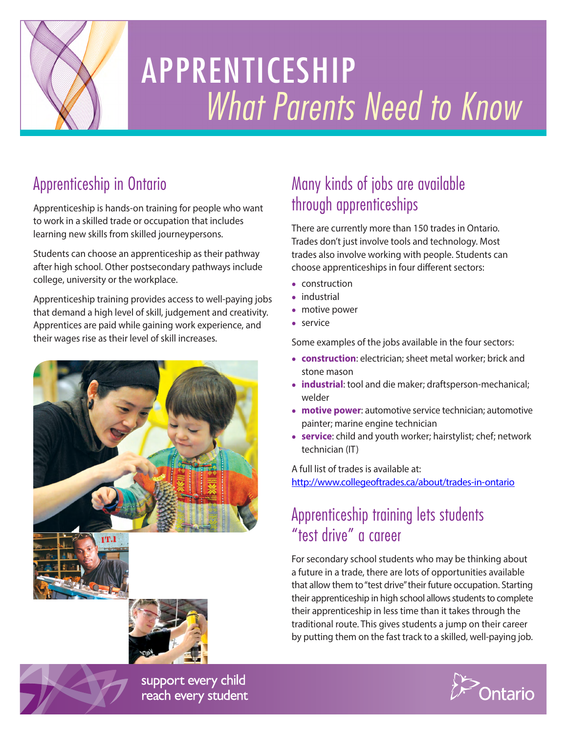

# APPRENTICESHIP *What Parents Need to Know*

# Apprenticeship in Ontario

Apprenticeship is hands-on training for people who want to work in a skilled trade or occupation that includes learning new skills from skilled journeypersons.

Students can choose an apprenticeship as their pathway after high school. Other postsecondary pathways include college, university or the workplace.

Apprenticeship training provides access to well-paying jobs that demand a high level of skill, judgement and creativity. Apprentices are paid while gaining work experience, and their wages rise as their level of skill increases.





# Many kinds of jobs are available through apprenticeships

There are currently more than 150 trades in Ontario. Trades don't just involve tools and technology. Most trades also involve working with people. Students can choose apprenticeships in four different sectors:

- construction
- industrial
- motive power
- service

Some examples of the jobs available in the four sectors:

- **construction**: electrician; sheet metal worker; brick and stone mason
- **industrial**: tool and die maker; draftsperson-mechanical; welder
- **motive power**: automotive service technician; automotive painter; marine engine technician
- **service**: child and youth worker; hairstylist; chef; network technician (IT)

A full list of trades is available at: <http://www.collegeoftrades.ca/about/trades-in-ontario>

#### Apprenticeship training lets students "test drive" a career

For secondary school students who may be thinking about a future in a trade, there are lots of opportunities available that allow them to "test drive" their future occupation. Starting their apprenticeship in high school allows students to complete their apprenticeship in less time than it takes through the traditional route. This gives students a jump on their career by putting them on the fast track to a skilled, well-paying job.



support every child reach every student